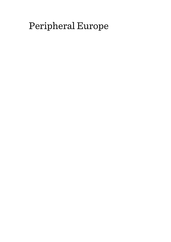# Peripheral Europe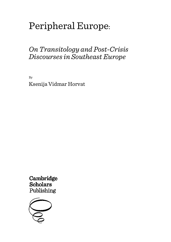# Peripheral Europe:

## *On Transitology and Post-Crisis Discourses in Southeast Europe*

By Ksenija Vidmar Horvat

Cambridge **Scholars** Publishing

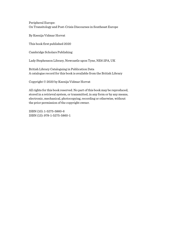Peripheral Europe: On Transitology and Post-Crisis Discourses in Southeast Europe

By Ksenija Vidmar Horvat

This book first published 2020

Cambridge Scholars Publishing

Lady Stephenson Library, Newcastle upon Tyne, NE6 2PA, UK

British Library Cataloguing in Publication Data A catalogue record for this book is available from the British Library

Copyright © 2020 by Ksenija Vidmar Horvat

All rights for this book reserved. No part of this book may be reproduced, stored in a retrieval system, or transmitted, in any form or by any means, electronic, mechanical, photocopying, recording or otherwise, without the prior permission of the copyright owner.

ISBN (10): 1-5275-5860-6 ISBN (13): 978-1-5275-5860-1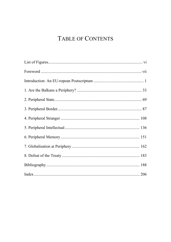## TABLE OF CONTENTS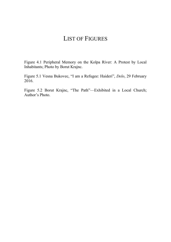## LIST OF FIGURES

Figure 4.1 Peripheral Memory on the Kolpa River: A Protest by Local Inhabitants; Photo by Borut Krajnc.

Figure 5.1 Vesna Bukovec, "I am a Refugee: Haideri", *Delo*, 29 February 2016.

Figure 5.2 Borut Krajnc, "The Path"––Exhibited in a Local Church; Author's Photo.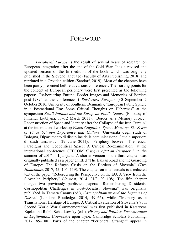## FOREWORD

*Peripheral Europe* is the result of several years of research on European integration after the end of the Cold War. It is a revised and updated version of the first edition of the book which was originally published in the Slovene language (Faculty of Arts Publishing, 2018) and reprinted in a Croatian edition (Sandorf, 2019). Most of the chapters have been partly presented before at various conferences. The starting points for the concept of European periphery were first presented as the following papers: "Re-bordering Europe: Border Images and Memories of Borders post-1989" at the conference *A Borderless Europe?* (30 September–2 October 2010, University of Southern, Denmark); "European Public Sphere in a Postnational Era: Some Critical Thoughts on Habermas" at the symposium *Small Nations and the European Public Sphere* (Embassy of Finland, Ljubljana, 11–12 March 2011); "Border as a Memory Project: Reconstruction of Space and Identity after the Collapse of the Iron Curtain" at the international workshop *Visual Cognition, Space, Memory: The Sense of Place between Experience and Culture* (Università degli studi di Bologna, Dipartimento di discipline della comunicazione, Scuola superiore di studi umanistici, 29 June 2011); "Periphery between Theoretical Paradigms and Geopolitical Space: A Critical Re-examination" at the international conference CEECOM *Critique of/at/on Periphery?* in the summer of 2017 in Ljubljana. A shorter version of the third chapter was originally published as a paper entitled "The Balkan Road and the Guarding of Europe: The Refugee Crisis on the Borders of Slovenia" (*Two Homelands*, 2017, 45, 105–119). The chapter on intellectuals is a redacted text of the paper "Rebordering the Perspective on the EU: A View from the Slovenian Periphery" (*Javnost*, 2014, 21/3, 93–108). The fifth chapter merges two previously published papers: "Remembering Dissidents: Cosmopolitan Challenges in Post-Socialist Slovenia" was originally published in Tamara Caraus (ed.), *Cosmopolitanism and the Legacies of Dissent* (London: Routledge, 2014, 49–66), while "Memory as a Transnational Heritage of Europe: A Critical Evaluation of Slovenia's 70th Second World War Commemoration" was first published in Katarzyna Kącka and Ralph Schattkowsky (eds), *History and Politics: Remembrance as Legitimation* (Newcastle upon Tyne: Cambridge Scholars Publishing, 2017, 85–100). Parts of the chapter "Peripheral Stranger" appear in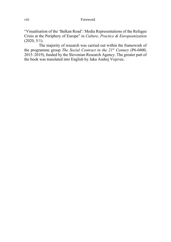"Visualisation of the 'Balkan Road': Media Representations of the Refugee Crisis at the Periphery of Europe" in *Culture, Practice & Europeanization* (2020, 5/1).

The majority of research was carried out within the framework of the programme group *The Social Contract in the 21st Century* (P6-0400, 2015–2019), funded by the Slovenian Research Agency. The greater part of the book was translated into English by Jaka Andrej Vojevec.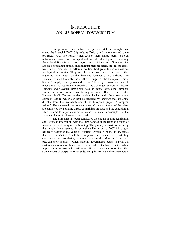## INTRODUCTION: AN EU-ROPEAN POSTSCRIPTUM

Europe is in crisis. In fact, Europe has just been through three crises: the financial (2007–08), refugee (2015–) and the one related to the pro-Brexit vote. The tremor which each of them caused seems to be an unfortunate outcome of contingent and unrelated developments stemming from global financial markets, regional wars of the Global South and the actions of cunning populists in individual member states. Indeed, the crises have had diverse causes, different political backgrounds and contentious ideological anatomies. They are clearly disassociated from each other regarding their impact on the lives and fortunes of EU citizens. The financial crisis hit mainly the southern fringes of the European Union: Spain, Portugal, Italy, Cyprus and Greece. The refugee crisis has been felt most along the southeastern stretch of the Schengen border: in Greece, Hungary and Slovenia. Brexit will have an impact across the European Union, but it is currently manifesting its direct effects in the United Kingdom itself. Yet despite their various backgrounds, the crises have a common feature, which can best be captured by language that has come directly from the manufacturers of the European project: "European values". The dispersed locations and sites of impact of each of the crises are connected by a binding thread comprising the state and the condition in which claims to a particular set of values—a stand-in descriptor for the European Union itself—have been made.

The Eurozone has been considered the engine of Europeanisation and European integration, with the Euro paraded at the front as a token of monetary as well as symbolic bonding. The gloomy scenario of austerity that would have seemed incomprehensible prior to 2007–08 singlehandedly destroyed the value of "justice". Article A of the Treaty states that the Union's task "shall be to organize, in a manner demonstrating consistency and solidarity, relations between the Member States and between their peoples". When national governments began to print out austerity measures for their citizens on one side of the bank counters while implementing measures for bailing out financial speculators on the other side, the idea of prosperity for all ended abruptly. For many the contemporary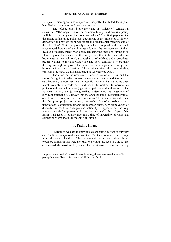European Union appears as a space of unequally distributed feelings of humiliation, desperation and broken promises.

The refugee crisis broke the value of "solidarity". Article J.a states that, "The objectives of the common foreign and security policy shall be … to safeguard the common values." The first pages of the document define value policy as "attachment to the principles of liberty, democracy and respect for human rights and fundamental freedoms and of the rule of law". While the globally expelled were stopped on the external, razor-fenced borders of the European Union, the management of their lives as a "security threat" was slowly replacing the image of Europe as an island of global humanism. For the Europeans within it, the financial crisis had created an "eternal now", a constellation of indebted and expropriated people waiting to reclaim what once had been considered to be their thriving, and rightful, pass to the future. For the refugees, too, Europe has become a time zone of waiting. The great narrative of Europe striding confidently towards the humanist paradise has withered away.

The effect on the progress of Europeanisation of Brexit and the rise of far right nationalism across the continent is yet to be determined. It can, however, be observed that the populist machine that started its open march roughly a decade ago, and began to portray its warriors as protectors of national interests (against the political multiculturalism of the European Union) and justice guerrillas undermining the hegemony of (pro-EU) national elites, throws into the open the fate of Maastricht values of cultural diversity, tolerance and humanism. This threatens to undermine the European project at its very core—the idea of cross-border and transnational cooperation among the member states, born from values of diversity, intercultural dialogue and solidarity. It appears that the long journey towards European reunification that begun after the collapse of the Berlin Wall faces its own relapse into a time of uncertainty, division and competing views about the meaning of Europe.

### **A Fading Image**

"Europe as we used to know it is disappearing in front of our very eyes," a Slovenian journalist commented.<sup>1</sup> Yet the current crisis in Europe is not the result of either of the above-mentioned crises. Indeed, things would be simpler if this were the case. We would just need to wait out the crises—and the most acute phases of at least two of them are mostly

<sup>1</sup> https://siol.net/novice/predsedniske-volitve/drugi-krog-bo-referendum-za-aliproti-pahorju-analiza-451862, accessed 28 October 2017.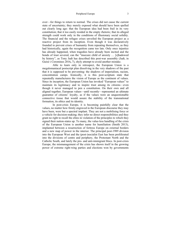over—for things to return to normal. The crises did not cause the current state of uncertainty; they merely exposed what should have been spelled out clearly long ago: that the European idea had been frail in its very constitution; that it too easily resided in the empty rhetoric; that its alleged strength could work only in the conditions of illusionary social solidity. The financial and the refugee crises unveiled the European project as a reactive project from its inception. Even though it was declaratively founded to prevent crises of humanity from repeating themselves, as they had historically, again the recognition came too late. Only once injustice has already happened, when tragedies have already been incited and the bonds of trust severed, can the "insecure child of anxiety … [s]hadowed by history", as Tony Judt has described this post-war assembly (Judt, in Guixé i Coromines 2016**,** 7), shyly attempt to avoid another mistake.

Able to learn only in retrospect, the European Union is a megalomaniacal postscript plan dissolving in the very shadows of the past that it is supposed to be preventing: the shadows of imperialism, racism, concentration camps. Ironically, it is this post-scriptum state that repeatedly manufactures the vision of Europe as the continent of values. Since its inception, the European Union has invoked "European values" to maintain its legitimacy and to inspire trust among its citizens—even though it never managed to pen a constitution. On their own and all aligned together, European values—until recently—represented an ultimate guarantee of citizens' loyalty, as if the values were an unquestionable connective tissue that would assure the stability of the transnational formation, its ethics and its identity.

In post-crisis Europe, it is becoming painfully clear that the values, no matter how firmly engraved in the European discourse they may have been, were but a spectral implant. They are not a mobilising force or a vehicle for decision-making; they infer no direct responsibilities and they grant no right to recall the elites in violation of the principles to which they signed their nation-states up. To many, the value-less handling of the crisis of the European Union is another name for humiliation (Smith 2013), implanted between a resurrection of fortress Europe on external borders and a new map of power in the interior. The principal post-1989 division into the European West and the (post-)socialist East has been proliferated into the divisions of centre and periphery, the Protestant North and the Catholic South, and lately the pro- and anti-immigrant blocs. In post-crisis Europe, the mismanagement of the crisis has shown itself in the growing power of extreme right-wing parties and elections won by governments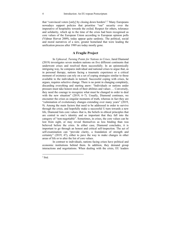that "convinced voters [only] by closing down borders".2 Many Europeans nowadays support policies that prioritise "our" security over the imperative of hospitality towards the exiled. Respect for others, tolerance and solidarity, which up to the time of the crisis had been recognised as core values of the European Union according to European opinion polls (Vidmar Horvat 2009), today appear quite sardonic. The political, social and moral narratives of a new, greater homeland that were leading the unification process after 1989 are today mostly gone.

### **A Fragile Project**

In *Upheaval, Turning Points for Nations in Crises*, Jared Diamond (2019) investigates seven modern nations on five different continents that underwent crises and resolved them successfully. In an epistemically intriguing way, he compares individual and national crises to argue that, as in personal therapy, nations facing a traumatic experience or a critical moment of existence can rely on a set of coping strategies similar to those available to the individuals in turmoil. Successful coping with crises, he argues, requires selective change. There is no point in changing completely, discarding everything and starting anew: "Individuals or nations under pressure must take honest stock of their abilities and values … Conversely, they need the courage to recognize what must be changed in order to deal with the new situation" (2019, 6-7). Usually, Diamond continues, we encounter the crises as singular moments of truth, whereas in fact they are "culmination of evolutionary changes extending over many years" (2019, 9). Among the main factors that need to be addressed in order to survive through the crisis, and hopefully make a successful U-turn towards a new life, Diamond lists core values–that is, the beliefs in ethical principles that are central to one's identity and so important that they fall into the category of "non-negotiable". Sometimes, in crises, the core values can be lost from sight, or may reveal themselves as less binding than was believed before the crisis. In either case, Diamond concludes, it is important to go through an honest and critical self-inspection. The act of self-examination can "provide clarity, a foundation of strength and certainty" (2019, 47), either to pave the way to make changes in other areas of life or to alter the list of core values.

In contrast to individuals, nations facing crises have political and economic institutions behind them. In addition, they demand group interactions and negotiations. When dealing with the crisis, EU leaders

 $<sup>2</sup>$  Ibid.</sup>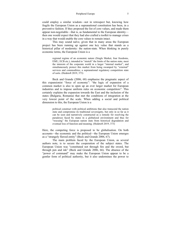could employ a similar wisdom—not in retrospect but, knowing how fragile the European Union as a supranational constitution has been, in a preventive fashion. If they proposed the list of core values, and made them appear non-negotiable—that is, as fundamental to the European identity then one would expect that they had also crafted a toolkit to manage crises in a way that would enable the core values to remain intact.

This may sound naïve, given that in many areas the European project has been running up against one key value that stands as a historical pillar of modernity: the nation-state. When thinking in purely economic terms, the European Union is a

> regional regime of an economic nature (Single Market, four freedoms, EMU, ECB etc.), intended to "stretch" the limits of the nation state, meet the interests of the corporate world in a larger "internal market", and simultaneously protect this market from being swamped by "external" services and commodities; a supranational regulatory competition state of sorts. (Hedetoft 2019, 373)

Beck and Grande (2006, 68) emphasise the pragmatic aspect of this expansionist "force of economy": "the logic of expansion of a common market is also to open up an ever larger market for European industries and to impose uniform rules on economic competitors". This certainly explains the expansion towards the East and the inclusion of the states (Bulgaria, Romania) that met the conditions of integration at the very lowest point of the scale. When adding a social and political dimension to this, the European Union is a

> political construct with political ambitions that also transcend the nation state and compromise its traditional sovereignty, but only in so far as it can be seen and narratively constructed as a remedy for resolving the paradoxes faced by states in a globalized environment and thus for "rescuing" the European nation state from historical degradation and eventual loss of function and meaning. (Hedetoft 2019, 373)

Here, the competing force is proposed to be globalisation. On both accounts—the economic and the political—the European Union emerges as a "strangely flawed entity" (Beck and Grande 2006, 67).

The main problem faced by the European Union, as several authors note, is to secure the cooperation of the subject states. The European Union was "constituted not through fire and the sword, but through pen and ink" (Beck and Grande 2006, 66). The absence of the "power of command" may make the European Union appear to be a gentler form of political authority, but it also undermines the power to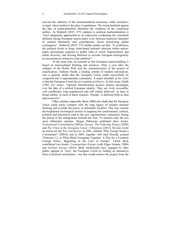activate the authority of the institutionalised consensus, either normative or legal, when needed in the place of gentleness. The recent backlash against the idea of multiculturalism illustrates the weakness of the consensual politics. As Hedetoft (2019, 375) explains it, political multiculturalism is "most adequately approached as an expression condensing the existential dilemma facing European nation-states riven between historical identities of cultural familiarity and contemporary forces prioritizing global contingency". Hedetoft (2019, 375) further points out that: "It symbolizes the political desire to forge value-based national cohesion within nationstates increasingly exposed to global risks of social fragmentation and ethnic diversity, and striving therefore to recreate European homogeneity in circumstances inimical to that ambition".

At the same time, he reminds us that European nation-building is based on monocultural thinking and practices. Only a year after the collapse of the Berlin Wall and the commencement of the project of reunification, Anthony Smith, a leading scholar of modern nationalism, cast a genuine doubt that the European Union could successfully be composed into a supranational community. A major shortfall, in his view, is that the European Union has no common *prehistory.* In this sense, Smith (1992, 62) writes, "national identifications possess distinct advantages over the idea of a unified European identity. They are vivid, accessible, well established, long popularized and still widely believed—at least in broad outline. In each of these respects, 'Europe' is deficient both as idea and as process".

Other scholars (especially Shore 2000) also doubt that the European Union could easily compete with the long legacy of modern national thinking and override the power of nationalist loyalties. This may explain the heightened sociological interest in mapping the constitutional, cultural, political and theoretical road to the new supranational community during the period of the enlargement towards the East. To mention only the two most influential scholars, Jürgen Habermas published three books: *Postnational Constellation* (2001a), *Europe: The Faltering Project* (2009) and *The Crisis of the European Union: A Response* (2012). He also wrote an article for the *New Left Review* in 2001, entitled "Why Europe Needs a Constitution" (2001b) and in 2003, together with Jack Derrida, penned "February 15, or What Binds Europeans Together: A Plea for a Common Foreign Policy, Beginning in the Core of Europe". Ulrich Beck contributed two books: *Cosmopolitan Europe* (with Edgar Grande, 2006) and *German Europe* (2014). Both intellectuals have engaged in other public appeals to "save" the European Union by finding an alternative form of political articulation—one that would remove the project from the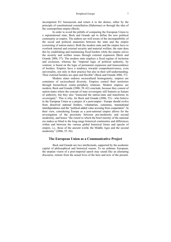incompetent EU bureaucrats and return it to the demos, either by the principle of constitutional constellation (Habermas) or through the idea of the cosmopolitan empire (Beck).

In order to avoid the pitfalls of comparing the European Union to a supranational state, Beck and Grande opt to define the new political community as empire. The authors are well aware of the incompatibility of the social and political anatomies between the state and the empire (consisting of nation-states). Both the modern state and the empire have to overlook internal and external security and material welfare; the state does this by establishing and maintaining fixed borders while the empire solves the security and welfare issues through external expansion (Beck and Grande 2006, 57). The modern state employs a fixed regime of inclusion and exclusion, whereas the "imperial logic of political authority, by contrast, is based on the logic of permanent expansion and transcendence of borders. Empires have a tendency towards comprehensiveness, even universality, not only in their practice but also in their self-understanding. Their external borders are open and flexible" (Beck and Grande 2006, 57).

Modern states endorse sociocultural homogeneity; empires are containers of sociocultural diversity. Empires control their territories through hierarchical centre–periphery relations. Modern empires are modern, Beck and Grande (2006, 58–62) conclude, because they consist of nation-states where the concept of state sovereignty still features as feature of authority, but they also "transcend the nation-state and transforms its sovereignty". This is why, for Beck and Grande (2006, 53)—who believe in the European Union as a project of a post-empire—Europe should evolve from dissolved national borders, voluntarism, consensus, transnational interdependence and the "political added value accruing from cooperation". In their view, considering Europe as a post-national empire allows for the investigation of the proximity between pre-modernity and second modernity, and hence "the extent to which the brief eternity of the national era makes us blind to the long-range historical continuities and differences within and between the various global historical forms and epochs of empire, i.e., those of the ancient world, the Middle Ages and the second modernity" (2006, 55–56).

#### **The European Union as a Communicative Project**

Beck and Grande are two intellectuals, supported by the academic capital of philosophical and historical reason. To an ordinary European, the utopian vision of a post-imperial epoch may sound like an alienating discourse, remote from the actual lives of the here and now of the present.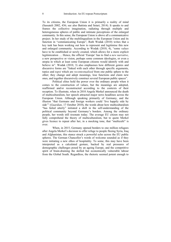To its citizens, the European Union it is primarily a reality of mind (Sassateli 2002, 436; see also Battista and Setari, 2014). It speaks to and frames the collective imagination, radiating through multiple and heterogeneous spheres of public and intimate perceptions of the enlarged community. In this sense, the European Union is above all a communicative project. In her study of the multilingualism in the European Union and its function in "communicating Europe", Ruth Wodak (2010) writes that a key task has been working out how to represent and legitimise this new and enlarged community. According to Wodak (2010, 4), "some *values*  have to be established or newly created, which allows for a more explicit legitimization … Hence, the official 'Europe' has to find a *new narrative*, a new perspective or vision, perhaps some common ideologies, or even a utopia in which at least some European citizens would identify with and believe in". Wodak (2010, 3) also emphasises how different genres and discursive forms are "linked with each other through specific arguments, topics and *topoi* which are *recontextualized* from one public sphere to the other; they change and adopt meanings, lose functions and claim new ones, and together discursively construct several European public spaces".

Political elites hold the power over the ordinary people when it comes to the construction of values, but the meanings are adopted, reaffirmed and/or reconstructed according to the contexts of their reception. To illustrate, when in 2010 Angela Merkel announced the death of multiculturalism, her speech attracted major news headlines across the European Union. Although speaking primarily of Germany, and the illusion "that Germans and foreign workers could 'live happily side by side'" (*Guardian*, 17 October 2010), the words about how multiculturalism "has failed utterly" initiated a shift in the self-understanding of the political community beyond Germany's borders. Among the ordinary people, her words still resonate today. The average EU citizen may not fully comprehend the theory of multiculturalism, but to quote Merkel gives licence to repeat after her, in a mocking tone, that "multiculti" is over.

When, in 2015, Germany opened borders to one million refugees after Angela Merkel's decision to offer refuge to people fleeing Syria, Iraq and Afghanistan, this stance struck a powerful echo across the EU public spheres. The German Chancellor's words of welcome sounded as if they were initiating a new ethos of hospitality. To some, this may have been interpreted as a calculated gesture, backed by real pressures of demographic challenges posed by an ageing Europe, and the competitive spirit of brain-draining the skilled but economically vulnerable labour from the Global South. Regardless, the rhetoric seemed potent enough to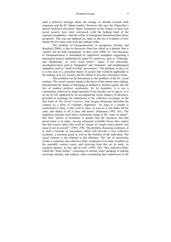send a political message about the change in attitude towards both migration and the EU labour market. However, this time the Chancellor's speech backfired elsewhere. Many Europeans on the fringes of their own social security have been convinced—with the helping hand of the regional xenophobes—that the influx of immigrants threatened their future prosperity. This was one addition too many to the list of evidence of how distant the EU elites were from the ordinary folks.

The problem of Europeanisation, to paraphrase Delanty and Rumford (2006), is that its discursive form has relied on a rhetoric that is "useful" but not fully meaningful. As they write (2006, 3): "The discourse of Europeanization is dominated by superficial metaphors suggesting a teleological project legitimated by grand EU narratives, such as "widening" and "deepening", or "ever closer union"; vague, if not inaccurate, sociological terms, such as "integration" and "inclusion", and morphological metaphors such as "multi-levelled" governance." The problem, as they see it, is the lack of a consistent theory of society that would be applicable to the making of an EU society, and the failure to provide a normative frame.

This problem can be formulated as the problem of the EU social contract. The social contract stands at the dawn of the nation-state making, transforming the bonds of belonging as defined in ancient regime into the ties of modern political community. At its inception, it is not a constitution, followed by legal sanctions if one decides not to sign in. It is an act of will supported by an accompanying social imagery of advances, provided in exchange for submission to the collective sovereign. In the first book of *The Social Contract*, Jean Jacques Rousseau describes the contract as a form of voluntary alignment: "As long as a people is constrained to obey, it does well to obey; as soon as it can shake off the yoke, and shakes it off, it does still better" (Rousseau 1993, 181). The alignment emerges from men's realisation, being in the "state of nature", that their "power of resistance is greater that the resources and that preservation is at stake—having exhausted available forces they realize that they need to unite, they work by 'means of a single motive power, and cause to act in concert'" (1993, 190). The problem, Rousseau continues, is to find a formula of association which will provide a new collective existence, a common good, as well as the freedom of the individual. The social contract is the solution to this dilemma. The "act of association creates a corporate and collective body, composed of as many members as the assembly contain voters, and receiving from this act its unity, its common identity, its life, and its will" (1993, 192). This collective body, called the "body politic", consisting of citizens when speaking of sharing sovereign identity, and subjects when considering their submission to the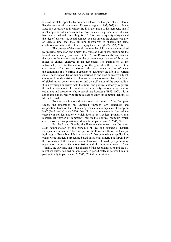laws of the state, operates by common interest, or the general will. Herein lies the sanctity of the contract. Rousseau argues (1993, 203) that, "If the State is a corporate body whose life is in the union of its members, and if most important of its cares is the care for its own preservation, it must have a universal and compelling force." This force is equality of rights and the idea of justice: "the social compact sets up among the citizens equality of such a kind, that they all bind themselves to observe the same conditions and should therefore all enjoy the same rights" (1993, 205).

The passage of the state of nature to the civil state is circumscribed by security, protection and liberty; the gains of civil liberty outnumber the loss of natural liberty (Rousseau 1993, 195). As Rousseau also emphasises, the social order that evolves from the passage is not a matter of force, but rather of choice, engraved in an agreement. The submission of the individual power to the authority of the general will is, in effect, a consequence of a resolved existential dilemma: to act "in concert" when the conditions of life shrink in capacity to guarantee the life in its current state. The European Union can be described as one such collective subject, emerging from the existential dilemma of the nation-states, faced by forces of globalisation, deterritorialisation and diversification of the body politic. It is a sovereign entrusted with the moral and political authority to govern the nation-states out of conditions of insecurity—into a new state of endurance and prosperity. Or, to paraphrase Rousseau (1993, 192), it is an act of association, receiving from this act its unity, its common identity, its life and its will.

To translate it more directly onto the project of the European Union, the integration has unfolded "through law, consensus and cooperation, based on the voluntary agreement and acceptance of European law" (Beck and Grande 2006, 66): "It is a non-hegemonic form of the exercise of political authority which does not rest, at least primarily, on a hierarchical "power of command" but on the political premium which consensus-based cooperation produces for all participants" (2006, 56).

For Beck and Grande, the Eastern enlargement was the latest clear demonstration of the principle of law and consensus. Eastern European countries have become part of the European Union, as they put it, through a "banal but highly rational act": first by making an application, which went through a procedure based on rational criteria put forward by the consensus of the member states. This was followed by a process of negotiation between the Commission and the accession states. Then, "finally, the *subjects*, that is the citizens of the accession states and the EU members states, decided on admission, in part directly in referendums, in part indirectly in parliaments" (2006, 67; italics in original).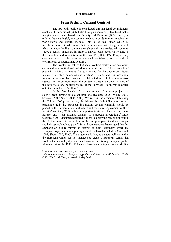### **From Social to Cultural Contract**

The EU body politic is constituted through legal commitments (such as EU conditionality), but also through a socio-cognitive bond that is imaginary and value based. As Delanty and Rumford (2006) put it, in order to be meaningful, any society needs to provide frames, imaginaries, world-views and cultural models. This is the basis upon which its members can orient and conduct their lives in accord with the general will, which is made familiar to them through social imaginaries. All societies "have a central imaginary in order to answer basic questions relating to their identity and orientation to the world" (2006, 17). Europe, they conclude, needs to be seen as one such social—or, as they call it, civilisational constellation (2006, 25).

The problem is that the EU social contract started as an economic, continued as a political and ended as a cultural contract. There was a brief phase in which a normative frame, allowing for the debate on "rights, justice, citizenship, belonging and identity" (Delanty and Rumford 2006, 5) was put forward, but it was never elaborated into a full communicative agenda—or, to be more exact, the burden to deepen an understanding of the core social and political values of the European Union was relegated onto the shoulders of "culture".

In the first decade of the new century, European project has slowly been turning into a cultural one (Delanty 2008; Mokre 2006; Sassateli 2002; Shore 2000, 2006). We read in the decision establishing the Culture 2000 program that, "If citizens give their full support to, and participate fully in, European integration, greater emphasis should be placed on their common cultural values and roots as a key element of their identity" and that, "Culture has an important intrinsic value to all people of Europe, and is an essential element of European integration".<sup>3</sup> More recently, a 2007 document declared, "There is a growing recognition within the EU that culture lies at the heart of the European project and has a unique and indispensable role to play."4 Several commentators have argued that this emphasis on culture mirrors an attempt to build legitimacy, which the European project and its supporting institutions have badly lacked (Sassatelli 2002; Shore 2000, 2006). The argument is that, as a supra-political entity, the European Union has not managed to create a European demos that would either claim loyalty or see itself as a self-identifying European public. Moreover, since the 1990s, EU leaders have been facing a growing decline

<sup>3</sup> Decision No. 1983/2006/EC, 30 December 2006.

<sup>4</sup> *Communication on a European Agenda for Culture in a Globalizing World, COM (2007) 242 Final,* accessed 10 May 2007.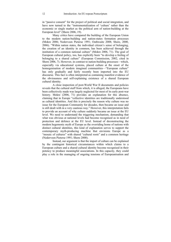in "passive consent" for the project of political and social integration, and have now turned to the "instrumentalization of 'culture' rather than the economic or single market as the political arm of nation-building at the European level" (Shore 2006, 19).

Many critics have compared the building of the European Union to the modern nation-building and nation-states formation processes (Mokre 2006; Nederveen Pieterse 1991; Outhwaite 2008; Shore, 2000, 2006). "Within nation states, the individual citizen's sense of belonging, the creation of an identity in common, has been achieved through the institution of a common national culture" (Mokre 2006, 71). The goal of European cultural policy, too, has explicitly been "to develop a feeling of belonging to a shared culture" (European Commission, 2002, cited in Shore 2006, 7). However, in contrast to nation-building processes—which, especially via educational systems, placed culture at the onset of the homogenisation of modern imagined communities—"European culture" has only gradually and fairly recently been imported into the EU discourse. This fact is often interpreted as containing manifest evidence of the obviousness and self-explaining existence of a shared European cultural identity.

A close inspection of post-World War II documents and policies reveals that the cultural stuff from which, it is alleged, the Europeans have been collectively made was largely neglected for most of its early post-war history. Mokre (2006, 71) provides an explanation for this absence, claiming that in Europe "collective identities are traditionally understood as cultural identities. And this is precisely the reason why culture was no issue for the European Community for decades, then became an issue and is still dealt with in a very cautious way." However, this interpretation fails to provide an account of why culture suddenly became an issue at the EU level. We need to understand the triggering mechanism, demanding that what was obvious at national levels had become recognised as in need of protection and defence at the EU level. Instead of deconstructing the modern hegemonic myth of Europe as the overriding home of nations with distinct cultural identities, this kind of explanation serves to support the contemporary myth-producing machine that envisions Europe as a "mosaic of cultures" with shared "cultural roots" and a common heritage (Nederveen Pieterse 1991; Shore 2000).

Instead, our argument is that the import of culture can be explained by the contingent historical circumstances within which claims to a European culture and a shared cultural identity become recognised in their potency to produce meaningful associations. In this capacity, they could play a role in the managing of ongoing tensions of Europeanisation and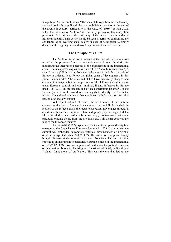integration. As Bo Stråth notes, "The idea of Europe became, historically and sociologically, a political idea and mobilizing metaphor at the end of the twentieth century, particularly in the wake of '1989'" (Stråth 2002, 388). The absence of "culture" in the early phases of the integration process in fact testifies to the historicity of the desire to claim a shared European identity. This desire should be seen in terms of confronting the challenges of an evolving social reality, instead of being taken to simply document the ongoing but overlooked expression of a shared essence.

#### **The Collapse of Values**

The "cultural turn" we witnessed at the turn of the century was related to the process of internal integration as well as to the desire for mobilising the integration potential of the enlargement in the international arena. The unexpected explosion of interest in a "new European identity", says Bauman (2012), stems from the endeavours to redefine the role of Europe in order for it to follow the global game of development. In this game, Bauman adds, "the rules and stakes have drastically changed and continue to change, albeit no longer as a result of European initiatives or under Europe's control, and with minimal, if any, influence by Europe itself" (2012, 3). In the background of such operations lie efforts to get Europe (as well as the world surrounding it) to identify itself with the image of a cultural continent that continues to hold the position of a beacon of global civilisation.

With the break-out of crises, the weaknesses of the cultural contract as the basis of integration were exposed in full. Particularly in relation to the refugee crisis, the roads to successful governance through it could have been much more effective and gained popular support if the EU political discourse had not been so deeply contaminated with one particular binding theme from the pre-crisis era. This theme concerns the idea of the European identity.

As Bo Stråth (2002) explains it, the idea of European identity first emerged at the Copenhagen European Summit in 1973. As he writes, the summit was embedded in concrete historical circumstances of a "global order in unexpected crisis" (2002, 387). The notion of European identity brought forward at the summit "expanded from its dollar and oil price context as an instrument to consolidate Europe's place in the international order" (2002, 389). However, a period of predominantly political discourse of integration followed, focusing on questions of legal, political and "values" foundations of unification. This was the era that led to the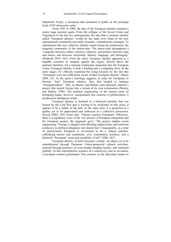Maastricht Treaty, a document that resonated in public as the principal book of EU democratic order.

From 1991 to 2008, the idea of the European identity assumed a centre stage position again. From the collapse of the Soviet Union and Yugoslavia to the last two enlargements, the idea that a common identity called "European identity" would be the main civic bond of the new supranational community prevailed. Instantly, contradictions emerged. To manufacture this new collective identity meant facing the predecessor, the imagined community of the nation-state. The nation-state presupposes a "congruity between culture, territory, ethnicity, and politics, between state and nation, and between citizenship, identity, language, and belonging" (Hedetoft 2019, 365). From the onset, European identity appeared as a tangible construct to compete against this legacy. Raised above the national identities, for a national community integrated into the European Union, European identity is both a binding and a competing force. In the early stages, EU officials explained the rising tensions by the fact that "Europeans were not sufficiently aware of their European identity" (Shore 2000, 25). As the quote's tautology suggests, in order for Europeans to become "true" European subjects, they first needed to undergo "Europeanisation". This, as Morley and Robins soon detected, implied a project that turned Europe into a terrain of its own colonisation (Morley and Robins 1996). The political engineering of the shared sense of belonging began; however, encapsulated into contexts of globalisation, it produced an ambiguous result.

European identity is featured as a historical heredity that was broken by the Cold War and is waiting to be reclaimed. In this sense, it appears to be a matter of the past. At the same time, it is projected as a quality yet to be appreciated and embraced as a collective possession. Soysal (2002, 265) writes that, "Europe requires Europeans. Otherwise, there is a legitimacy crisis of the very process of European integration and the European project, the argument goes." The project implies social engineering: "Europe is charged with affording subjectivities and emotions conducive to political allegiance and shared fate. Consequently, as a state of person-hood, European is envisioned to be a subject position, embodying desires and sentiments, civic constitution, loyalties, and a distinctly "European" sense and sensibility of self" (2002, 267).

European identity, in brief, becomes a brand—an object yet to be manufactured through European Union-sponsored cultural activities, realized through practices of cross-border bonding locally, and marketed globally. In this schizophrenic scenario of a rediscovery and an invention, a European contract germinated. This contract, as the individual studies in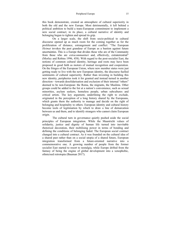this book demonstrate, created an atmosphere of cultural superiority in both the old and the new Europe. Most detrimentally, it left behind a political ambition to build a trans-European commitment to implement a new social contract; in its place, a cultural narrative of identity and belonging begun to tighten and spread its grip.

On a larger scale, the shift from socio-political to cultural discourse opened up as much room for the coming together as for the proliferation of distance, estrangement and conflict: "The European *Heimat* invokes the past grandeur of Europe as a bastion against future uncertainties. This is a Europe that divides those who are of the Community from those who are *extracommunitari* and, effectively, extraterrestrial" (Morley and Robins 1996, 458). With regard to the post-socialist East, the notions of common cultural identity, heritage and roots may have been proposed in good faith as motors of mutual recognition and cooperation. On the fringes of the European Union, where new member states were just getting ready to live with the new European identity, the discourse fuelled sentiments of cultural superiority. Rather than investing in building this new identity, peripheries took it for granted and instead turned in another direction—towards desolidarisation and exclusion of their internal "others" deemed to be non-European: the Roma, the migrants, the Muslims. Other groups could be added to the list at a nation's convenience, such as sexual minorities, asylum seekers, homeless people, urban subcultures and critical artists. The key argument, underlining the right to exclude, originated in the perception of a long history shared by the Europeans, which grants them the authority to manage and decide on the right of belonging and hospitality to others. European identity and cultural history become tools of legitimation by which to draw a line of demarcation between us and them, and to identify strangers who cannot claim European origin.

The cultural turn in governance quietly pushed aside the social principles of European integration. While the Maastricht values of solidarity, justice and dignity of human life turned into inevitable rhetorical decoration, their mobilising power in terms of bonding and defining the conditions of belonging faded. The European social contract changed into a cultural contract. As it was founded on the cultural idea of a shared past rather than on a social utopia of a shared future, European integration transformed from a future-oriented narrative into a commemorative one. A growing number of people from the former socialist East started to resort to nostalgia, while Europe drifted from the fantasy of being the engine of global development into a xenophobic, ethnicised retrotopia (Bauman 2017).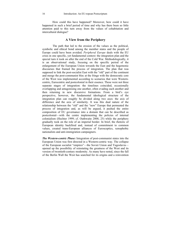How could this have happened? Moreover, how could it have happened in such a brief period of time and why has there been so little attention paid to this turn away from the values of cohabitation and intercultural dialogue?

### **A View from the Periphery**

The path that led to the erosion of the values as the political, symbolic and ethical bond among the member states and the people of Europe could have been avoided. *Peripheral Europe* deals with the EU crisis in one specific, yet fundamental context: the integration plan and the special turn it took on after the end of the Cold War. Methodologically, it is an observational study, focusing on the specific period of the enlargement of the European Union towards the East and the hegemonic discourses that framed the process of integration. The plan that was supposed to link the post-socialist East with the "old" part of the continent and merge the post-communist bloc at the fringe with the democratic core of the West was implemented according to scenarios that were Westerncentric, Eurocentric and postcolonial in their essence. These were not three separate stages of integration: the timelines coincided, occasionally overlapping and antagonising one another, often evading each another and then returning in new discursive formations. From a bird's eye perspective, however, the fundamental ideological structure of the integration plan can roughly be divided along two axes: the axis of difference and the axis of similarity. It was this dual nature of the relationship between the "old" and the "new" Europe that permeated the process of integration and, as will be argued, it pushed the entire composition of EU governance into a domain that can be described as postcolonial—with the centre implementing the policies of internal colonialism (Hechter 1999; cf. Outhwaite 2008, 25) while the periphery gradually took on the role of an imperial border. In brief, the rhetoric of European identity backfired and, instead of commitment to common values, created trans-European alliances of Eurosceptics, xenophobic nationalists and anti-immigration campaigners.

*The Western-centric Phase:* Integration of post-communist states into the European Union was first directed in a Western-centric way. The collapse of the European socialist "empires"—the Soviet Union and Yugoslavia opened up the possibility of reinstating the greatness of the West and its version of twentieth-century modernity. As many have noted, since the fall of the Berlin Wall the West has searched for its origins and a reinvention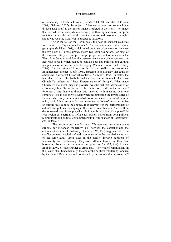of democracy in Eastern Europe (Borcila 2004, 58; see also Outhwaite 2008; Zielonka 2007). Its object of fascination was not so much the divided East itself as the mirror image it offered to the West. The image that formed in the West while observing the thawing history of European societies on the other side of the Iron Curtain inspired favourable thoughts about who won the Cold War (Forrester *et al*. 2004).

After the fall of the Berlin Wall, the now ex-socialist countries were invited to "again join Europe". The invitation invoked a mental geography (le Rider 2008), which relied on a line of demarcation between the two poles of Europe already drawn two centuries before. For most of the modern history of Europe, Europe proper was coterminous with the West. In order to consolidate the western hemisphere of the continent, an East was needed, which helped to contain both geo-political and cultural imaginaries of difference and belonging (Vidmar Horvat and Delanty 2008). The invention of Russia as the East, crystallised as part of the Enlightenment project (Wolff 1994), appeared to be a legacy that could be employed in different historical contexts. As Wolff (1994, 4) states, the map that darkened the lands behind the Iron Curtain is much older than Churchill's address to "these Eastern states of Europe". What made Churchill's oratorical image so powerful was the fact that "demarcation of a boundary line "from Stettin in the Baltic to Trieste in the Adriatic" followed a line that was drawn and invested with meaning over two centuries. This is not only relevant when decomposing the mythologies of Europe, which rely on an essentialist notion of a shared sense of cultural unity, but it fails to account for how inventing the "others" was constitutive of forging this cultural belonging. It is relevant for the cartographies of cultural and political belonging in the time of reunification. As it will be demonstrated later, it has played a role in the formulation of the post-Cold War region as a terrain of refuge for Eastern states from both political (communist) and cultural containment within "the shadow of Easternness" (Wolff 1994, 3).

The desire to push the East out of Europe was a symptom of the struggle for European modernity, i.e., between the capitalist and the communist version of modernity. Kumar (1992, 458) suggests that, "The conflict between 'capitalism' and 'communism' in the twentieth century is of the same kind." Both sides in the conflict involve questions of inhumanity and inefficiency. They use different terms, but they "are borrowing from the same common European store" (1992, 458). Étienne Balibar (2004, 81) goes further to argue that, "The 'end of communism' in the East is also, fundamentally, the end of the political 'modernity' opened by the French Revolution and dominated by the notions that it produced."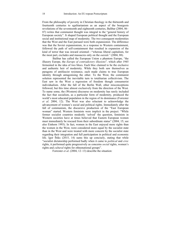From the philosophy of poverty in Christian theology in the thirteenth and fourteenth centuries to egalitarianism as an aspect of the bourgeois revolutions of the seventeenth and eighteenth centuries, Balibar (2004, 86– 87) writes that communist thought was integral to the "general history of European society". It shaped European political thought and the European social and institutional map of modernity. The two consequent modernities that the West and the East pursued were both expansionist. The difference was that the Soviet expansionism, in a response to Western containment, followed the path of self-containment that resulted in expansion of the kind of terror that was inward oriented—"whereas liberal capitalism, for the most part, excludes and massacres only on the *outside"* (2004, 88).

Balibar has called the European Union a phantom Europe, "the illusory Europe, the *Europe of contradictory illusions*"*,* which after 1945 fermented in the idea of two blocs. Each bloc claimed to be the exclusive and authentic heir of modernity. While they both saw themselves as paragons of antifascist resistance, each made claims to true European identity through antagonising the other. To the West, the communist solution represented the inevitable turn to totalitarian collectivism. The East saw in the West a regression of freedom though consumerist individualism. After the fall of the Berlin Wall, other misconceptions followed, but this time almost exclusively from the direction of the West. To name some, the (Western) discourse on modernity has rarely included the fact that socialism, as a particular form of modernity, produced the world's most educated population in the region of its dominance (Forrester *et al*. 2004, 12). The West was also reluctant to acknowledge the advancement of women's social and political rights. Immediately after the fall of communism, the discursive production of the "East European woman" started. Western feminists were implicit in the project: "While former socialist countries modestly 'solved' the question, feminists in Western societies have at times believed that Eastern European women must immediately be rescued from their subordinate status" (2004, 15; see also Einhorn 1993). In fact, women in the East enjoyed more rights than the women in the West, were considered more equal by the socialist state than in the West and were treated with more concern by the socialist state regarding their integration and full participation in political and economic life. Igor Štiks (2015, 14) sums this up concisely, stating that while "socialist dictatorship performed badly when it came to *political* and *civic*  rights, it performed quite progressively as concerns *social* rights, women's rights and *cultural* rights for ethnonational groups".

Forrester *et al*. (2004, 12–13) describe the situation: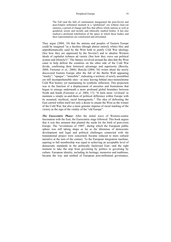#### Peripheral Europe 19

The Fall (and the fall) of communism inaugurated the post-Soviet and post-Empire millennial moment in a "globalized" era without clear-cut enemies, a period of change and flux that affects whole nations as well as gendered, sexed, and racially and ethnically marked bodies. It has also marked a profound redefinition of the space in which these bodies and their representations are constructed and articulated.

They argue (2004, 10) that the nations and peoples of Eastern Europe could be imagined "as a faceless (though almost entirely white) bloc and unproblematically used by the West both to justify Cold War ideology (See how they are oppressed by the Soviets!) and to idealise Western ideals of capitalist richness ad variety (See how they crave our political system and lifestyle!)". The fantasy revolved around the idea that the West came to help defrost the countries on the other side of the Cold War divide, confirming their historical advantage and superiority (Borcila, 2004; Forrester *et al*., 2004). Borcila (2004, 54) writes about the newly discovered Eastern Europe after the fall of the Berlin Wall appearing "murky", "opaque", "immobile", indicating a territory of newly assembled yet still incomprehensible sites—at once leaving behind once-monochrome Cold War history yet maintaining its symbolic inflection. This projection was in the function of a displacement of anxieties and frustrations that begun to emerge underneath a more profound global boundary between North and South (Forrester *et al*. 2004, 17): "It feels more 'civilized' to maintain a simple us-and-them of political difference within Europe with its assumed, mythical, racial homogeneity." The idea of defrosting the East carried within itself not only a desire to situate the West as the winner of the Cold War, but also a more genuine impetus of racial marking of the victory as the sign of the vitality of the "old Europe".

*The Eurocentric Phase:* After the initial wave of Western-centric fascination with the East, the Eurocentric stage followed. This book argues that it was this moment that planted the seeds for the birth of post-crisis Europe. The "revolutions of 1989", during which the European public sphere was still taking shape as far as the dilemmas of democratic development and legal and political challenges connected with the transnational project were concerned, became reduced to mere cultural narrative at the turn of the century. To the European integration machine, aspiring to full membership was equal to achieving an acceptable level of democratic standards in the politically backward East—and the right moment to take the step from governing by politics to governing by culture. European identity, including its heritage, memories and traditions, became the way and method of European post-millennial governance,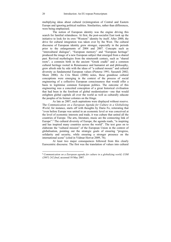multiplying ideas about cultural (re)integration of Central and Eastern Europe and ignoring political realities. Similarities, rather than differences, were being emphasised.

The notion of European identity was the engine driving this search for familial relatedness. At first, the post-socialist East took up the initiative to look for its own "Western" identity by itself. After 2000, the drive for cultural integration was taken over by the West. The cultural discourse of European identity grew stronger, especially in the periods prior to the enlargements of 2004 and 2007. Concepts such as "intercultural dialogue", "European memory" and "European heritage" produced the image of a new European subject that emerged from a shared past. Revived mythologies from the nineteenth century, such as "shared roots", a common birth in the ancient "Greek cradle" and a common cultural heritage rooted in Renaissance and humanist art and philosophy, grew afresh side by side with the ideas of "a cultural mosaic" and cultural diversity as fundamental European values (Pieterse 1991; Sassateli 2002; Shore 2006). As Cris Shore (2006) notes, these grandiose cultural conceptions were emerging in the context of the process of social engineering of a collective European consciousness that would offer a basis to legitimise common European politics. The outcome of this engineering was a conceited conception of a great historical civilisation that had been in the forefront of global modernisation—one that would enlighten global capitals all over the world as well as culturally educate the peoples of its former colonies on the fringe.

As late as 2007, such aspirations were displayed without reserve. The *Communication on a European Agenda for Culture in a Globalizing World*, for instance, starts off with thoughts by Dario Fo, reiterating that "even before Europe was united in an economic level or was conceived at the level of economic interests and trade, it was culture that united all the countries of Europe. The arts, literature, music are the connecting link of Europe".<sup>5</sup> The cultural diversity of Europe, the agenda reads, "is inspiring and has inspired many countries across the world". The text goes on to elaborate the "cultural mission" of the European Union in the context of globalisation, pointing out the strategic goals of ensuring "progress, solidarity and security, while ensuring a stronger presence on the international scene" (cited in Vidmar Horvat 2009, 76).

At least two major consequences followed from this clearly Eurocentric discourse. The first was the translation of values into cultural

<sup>6</sup>*Communication on a European agenda for culture in a globalizing world, COM (2007) 242 final*, accessed 10 May 2007.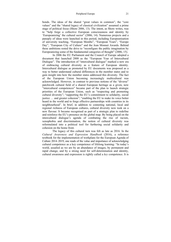#### Peripheral Europe 21

bonds. The ideas of the shared "great values in common", the "core values" and the "shared legacy of classical civilization" assumed a prime stage of political focus (Shore 2006, 13). The intent, as Shore writes, was to "help forge a collective European consciousness and identity by 'Europeanizing' the cultural sector" (2006, 14). Numerous projects and a panoply of ideas were launched in this period, including Europeanisation of university teaching, "European Months", "European Years", "Europe Day", "European City of Culture" and the Jean Monnet Awards. Behind these ambitions rested the drive to "reconfigure the public imagination by Europeanizing some of the fundamental categories of thought" (2006, 15).

In 2006 the EU Parliament and the Council of Europe adopted a document that launched 2008 as the "European Year of Intercultural Dialogue". The introduction of "intercultural dialogue" marked a new era of embracing cultural diversity as a feature of European identity. Intercultural dialogue as promoted by EU documents was proposed as a way to better understand cultural differences in the member states and to gain insight into how the member states addressed this diversity. The fact of the European Union becoming increasingly multicultural was acknowledged. However, in contrast to previous notions of the "diverse" patchwork cultural field of a shared European heritage as a given, now "intercultural competences" became part of the plan to launch strategic priorities of the European Union, such as "respecting and promoting cultural diversity"; "supporting the EU's commitment to solidarity, social justice … and greater cohesion"; "enabling the EU to make its voice better heard in the world and to forge effective partnerships with countries in its neighbourhood". In brief, in addition to connoting national, local and regional richness of European cultures, cultural diversity now took on a new flavour. It became recognised as part of a strategic plan to redefine and reinforce the EU's presence on the global map. By being placed on the intercultural dialogue's agenda of combating the rise of racism, xenophobia and discrimination, the notion of cultural diversity was reformulated into a political tool for furthering social solidarity and cohesion on the home front.

The legacy of this cultural turn was felt as late as 2016. In the *Cultural Awareness and Expression Handbook* (2016), a reference textbook for the implementation of workplans for the European Agenda of Culture 2014–2019, one reads of the value and importance of acknowledging cultural competence as a key competence of lifelong learning: "In today's world, assailed as we are by an abundance of images, by permanent and rapid change, and by a strong need for self-determination and identity, cultural awareness and expression is rightly called a *key* competence. It is